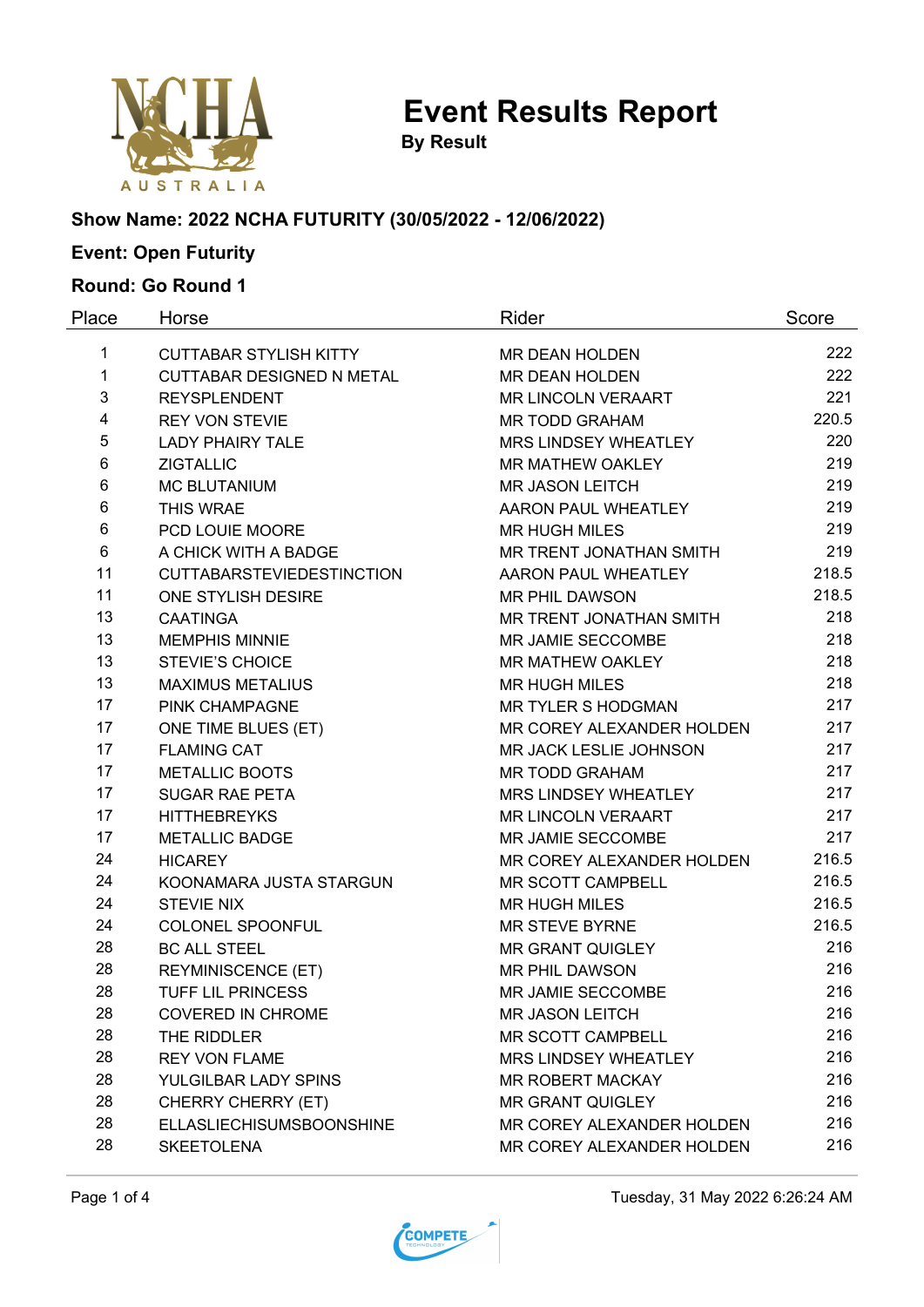

**By Result**

#### **Show Name: 2022 NCHA FUTURITY (30/05/2022 - 12/06/2022)**

# **Event: Open Futurity**

### **Round: Go Round 1**

| Place | Horse                            | Rider                     | Score |
|-------|----------------------------------|---------------------------|-------|
| 1     | <b>CUTTABAR STYLISH KITTY</b>    | MR DEAN HOLDEN            | 222   |
| 1     | <b>CUTTABAR DESIGNED N METAL</b> | <b>MR DEAN HOLDEN</b>     | 222   |
| 3     | <b>REYSPLENDENT</b>              | <b>MR LINCOLN VERAART</b> | 221   |
| 4     | <b>REY VON STEVIE</b>            | <b>MR TODD GRAHAM</b>     | 220.5 |
| 5     | <b>LADY PHAIRY TALE</b>          | MRS LINDSEY WHEATLEY      | 220   |
| 6     | <b>ZIGTALLIC</b>                 | MR MATHEW OAKLEY          | 219   |
| 6     | <b>MC BLUTANIUM</b>              | <b>MR JASON LEITCH</b>    | 219   |
| 6     | THIS WRAE                        | AARON PAUL WHEATLEY       | 219   |
| 6     | PCD LOUIE MOORE                  | <b>MR HUGH MILES</b>      | 219   |
| 6     | A CHICK WITH A BADGE             | MR TRENT JONATHAN SMITH   | 219   |
| 11    | <b>CUTTABARSTEVIEDESTINCTION</b> | AARON PAUL WHEATLEY       | 218.5 |
| 11    | ONE STYLISH DESIRE               | <b>MR PHIL DAWSON</b>     | 218.5 |
| 13    | <b>CAATINGA</b>                  | MR TRENT JONATHAN SMITH   | 218   |
| 13    | <b>MEMPHIS MINNIE</b>            | MR JAMIE SECCOMBE         | 218   |
| 13    | <b>STEVIE'S CHOICE</b>           | <b>MR MATHEW OAKLEY</b>   | 218   |
| 13    | <b>MAXIMUS METALIUS</b>          | <b>MR HUGH MILES</b>      | 218   |
| 17    | PINK CHAMPAGNE                   | <b>MR TYLER S HODGMAN</b> | 217   |
| 17    | ONE TIME BLUES (ET)              | MR COREY ALEXANDER HOLDEN | 217   |
| 17    | <b>FLAMING CAT</b>               | MR JACK LESLIE JOHNSON    | 217   |
| 17    | <b>METALLIC BOOTS</b>            | <b>MR TODD GRAHAM</b>     | 217   |
| 17    | <b>SUGAR RAE PETA</b>            | MRS LINDSEY WHEATLEY      | 217   |
| 17    | <b>HITTHEBREYKS</b>              | <b>MR LINCOLN VERAART</b> | 217   |
| 17    | <b>METALLIC BADGE</b>            | MR JAMIE SECCOMBE         | 217   |
| 24    | <b>HICAREY</b>                   | MR COREY ALEXANDER HOLDEN | 216.5 |
| 24    | KOONAMARA JUSTA STARGUN          | MR SCOTT CAMPBELL         | 216.5 |
| 24    | <b>STEVIE NIX</b>                | <b>MR HUGH MILES</b>      | 216.5 |
| 24    | COLONEL SPOONFUL                 | <b>MR STEVE BYRNE</b>     | 216.5 |
| 28    | <b>BC ALL STEEL</b>              | <b>MR GRANT QUIGLEY</b>   | 216   |
| 28    | <b>REYMINISCENCE (ET)</b>        | <b>MR PHIL DAWSON</b>     | 216   |
| 28    | <b>TUFF LIL PRINCESS</b>         | MR JAMIE SECCOMBE         | 216   |
| 28    | <b>COVERED IN CHROME</b>         | <b>MR JASON LEITCH</b>    | 216   |
| 28    | THE RIDDLER                      | MR SCOTT CAMPBELL         | 216   |
| 28    | <b>REY VON FLAME</b>             | MRS LINDSEY WHEATLEY      | 216   |
| 28    | YULGILBAR LADY SPINS             | <b>MR ROBERT MACKAY</b>   | 216   |
| 28    | CHERRY CHERRY (ET)               | <b>MR GRANT QUIGLEY</b>   | 216   |
| 28    | <b>ELLASLIECHISUMSBOONSHINE</b>  | MR COREY ALEXANDER HOLDEN | 216   |
| 28    | <b>SKEETOLENA</b>                | MR COREY ALEXANDER HOLDEN | 216   |



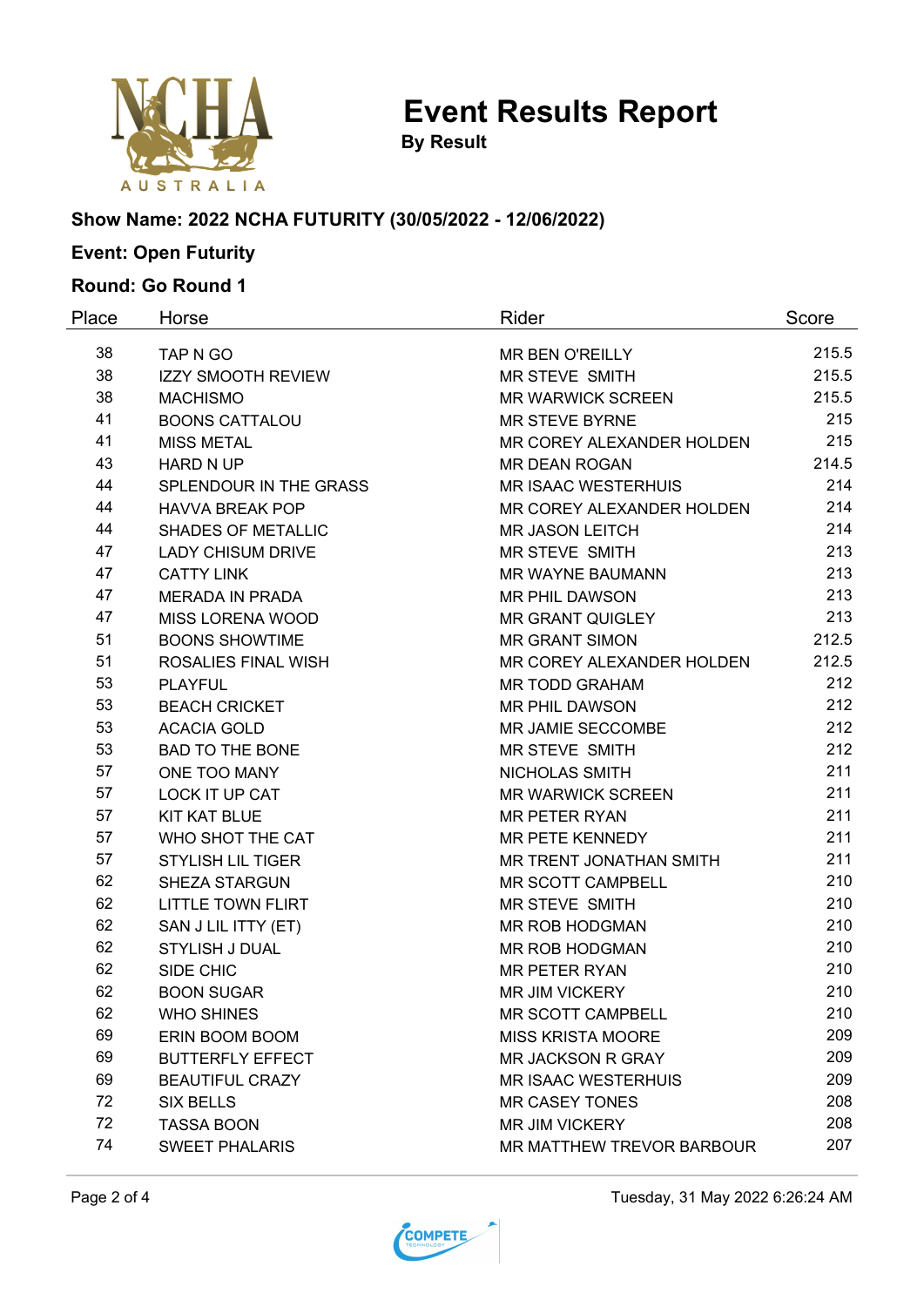

**By Result**

#### **Show Name: 2022 NCHA FUTURITY (30/05/2022 - 12/06/2022)**

# **Event: Open Futurity**

### **Round: Go Round 1**

| Place | Horse                                          | Rider                            | Score      |
|-------|------------------------------------------------|----------------------------------|------------|
| 38    | TAP N GO                                       | <b>MR BEN O'REILLY</b>           | 215.5      |
| 38    | <b>IZZY SMOOTH REVIEW</b>                      | MR STEVE SMITH                   | 215.5      |
| 38    | <b>MACHISMO</b>                                | <b>MR WARWICK SCREEN</b>         | 215.5      |
| 41    | <b>BOONS CATTALOU</b><br><b>MR STEVE BYRNE</b> |                                  | 215        |
| 41    | <b>MISS METAL</b>                              | MR COREY ALEXANDER HOLDEN        | 215        |
| 43    | <b>HARD N UP</b>                               | <b>MR DEAN ROGAN</b>             | 214.5      |
| 44    | SPLENDOUR IN THE GRASS                         | <b>MR ISAAC WESTERHUIS</b>       | 214        |
| 44    | <b>HAVVA BREAK POP</b>                         | MR COREY ALEXANDER HOLDEN        | 214        |
| 44    | <b>SHADES OF METALLIC</b>                      | <b>MR JASON LEITCH</b>           | 214        |
| 47    | <b>LADY CHISUM DRIVE</b>                       | MR STEVE SMITH                   | 213        |
| 47    | <b>CATTY LINK</b>                              | MR WAYNE BAUMANN                 | 213        |
| 47    | <b>MERADA IN PRADA</b>                         | <b>MR PHIL DAWSON</b>            |            |
| 47    | MISS LORENA WOOD                               | <b>MR GRANT QUIGLEY</b>          |            |
| 51    | <b>BOONS SHOWTIME</b>                          | <b>MR GRANT SIMON</b>            | 212.5      |
| 51    | <b>ROSALIES FINAL WISH</b>                     | MR COREY ALEXANDER HOLDEN        | 212.5      |
| 53    | <b>PLAYFUL</b>                                 | <b>MR TODD GRAHAM</b>            | 212        |
| 53    | <b>BEACH CRICKET</b>                           | <b>MR PHIL DAWSON</b>            | 212        |
| 53    | <b>ACACIA GOLD</b>                             | MR JAMIE SECCOMBE                | 212        |
| 53    | <b>BAD TO THE BONE</b>                         | MR STEVE SMITH                   | 212        |
| 57    | ONE TOO MANY                                   | NICHOLAS SMITH                   | 211<br>211 |
| 57    | LOCK IT UP CAT                                 | <b>MR WARWICK SCREEN</b>         |            |
| 57    | <b>KIT KAT BLUE</b>                            | <b>MR PETER RYAN</b>             | 211<br>211 |
| 57    | WHO SHOT THE CAT                               | MR PETE KENNEDY                  |            |
| 57    | <b>STYLISH LIL TIGER</b>                       | MR TRENT JONATHAN SMITH          |            |
| 62    | <b>SHEZA STARGUN</b>                           | MR SCOTT CAMPBELL                |            |
| 62    | <b>LITTLE TOWN FLIRT</b>                       | MR STEVE SMITH                   |            |
| 62    | SAN J LIL ITTY (ET)                            | MR ROB HODGMAN                   | 210        |
| 62    | STYLISH J DUAL                                 | MR ROB HODGMAN                   | 210        |
| 62    | SIDE CHIC                                      | <b>MR PETER RYAN</b>             | 210        |
| 62    | <b>BOON SUGAR</b>                              | <b>MR JIM VICKERY</b>            | 210        |
| 62    | <b>WHO SHINES</b>                              | <b>MR SCOTT CAMPBELL</b>         | 210        |
| 69    | ERIN BOOM BOOM                                 | <b>MISS KRISTA MOORE</b>         | 209        |
| 69    | <b>BUTTERFLY EFFECT</b>                        | <b>MR JACKSON R GRAY</b>         | 209        |
| 69    | <b>BEAUTIFUL CRAZY</b>                         | <b>MR ISAAC WESTERHUIS</b>       | 209        |
| 72    | <b>SIX BELLS</b>                               | <b>MR CASEY TONES</b>            | 208        |
| 72    | <b>TASSA BOON</b>                              | MR JIM VICKERY                   | 208        |
| 74    | <b>SWEET PHALARIS</b>                          | <b>MR MATTHEW TREVOR BARBOUR</b> | 207        |



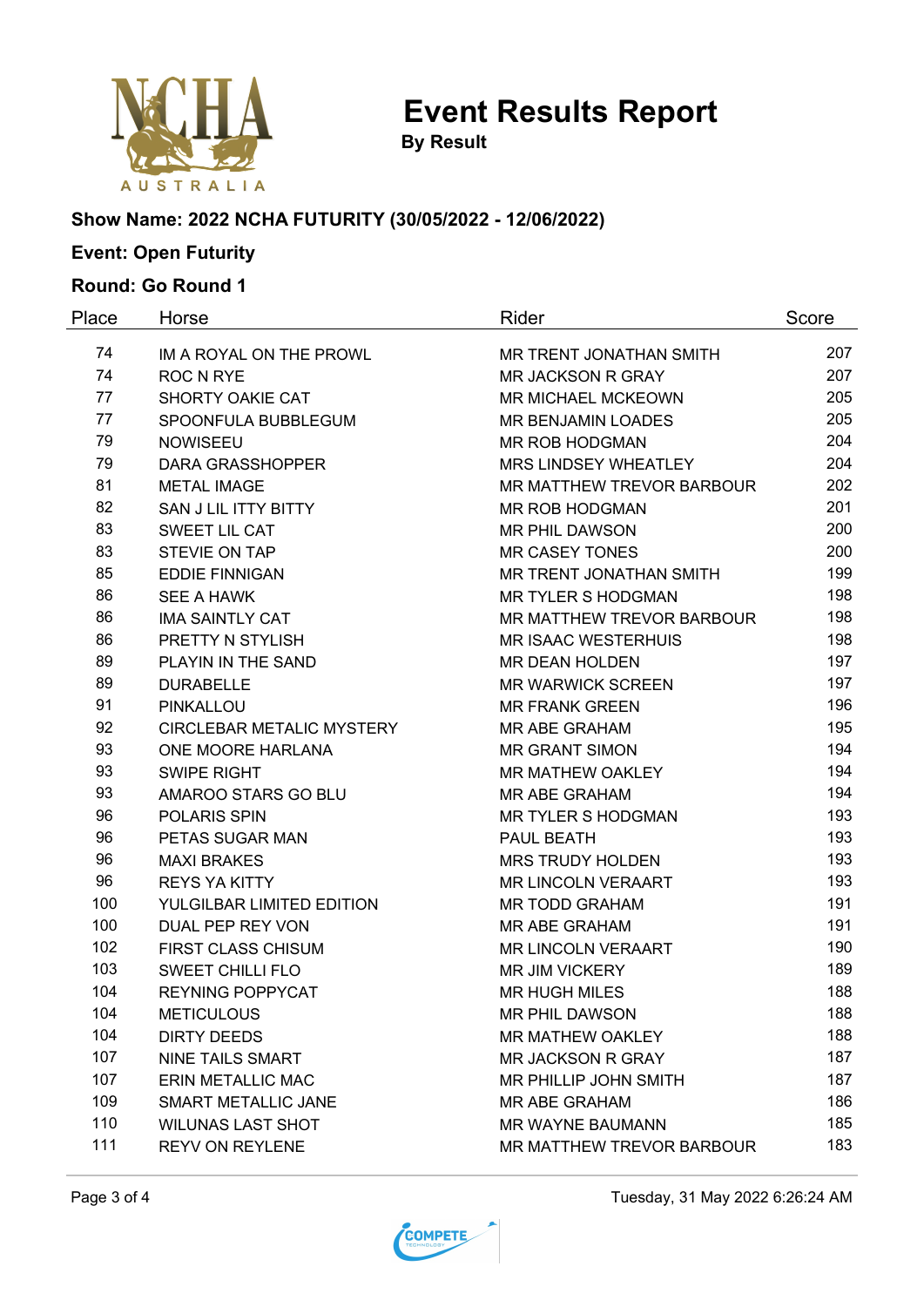

**By Result**

#### **Show Name: 2022 NCHA FUTURITY (30/05/2022 - 12/06/2022)**

# **Event: Open Futurity**

### **Round: Go Round 1**

| Place | Horse                                         | Rider                            | Score      |
|-------|-----------------------------------------------|----------------------------------|------------|
| 74    | IM A ROYAL ON THE PROWL                       | MR TRENT JONATHAN SMITH          | 207        |
| 74    | <b>ROC N RYE</b>                              | <b>MR JACKSON R GRAY</b>         | 207        |
| 77    | SHORTY OAKIE CAT<br><b>MR MICHAEL MCKEOWN</b> |                                  | 205        |
| 77    | SPOONFULA BUBBLEGUM                           | MR BENJAMIN LOADES               | 205        |
| 79    | <b>NOWISEEU</b>                               | MR ROB HODGMAN                   | 204        |
| 79    | <b>DARA GRASSHOPPER</b>                       | MRS LINDSEY WHEATLEY             | 204        |
| 81    | <b>METAL IMAGE</b>                            | <b>MR MATTHEW TREVOR BARBOUR</b> | 202        |
| 82    | SAN J LIL ITTY BITTY                          | <b>MR ROB HODGMAN</b>            | 201        |
| 83    | SWEET LIL CAT                                 | <b>MR PHIL DAWSON</b>            |            |
| 83    | STEVIE ON TAP                                 | <b>MR CASEY TONES</b>            | 200        |
| 85    | <b>EDDIE FINNIGAN</b>                         | MR TRENT JONATHAN SMITH          | 199        |
| 86    | <b>SEE A HAWK</b>                             | <b>MR TYLER S HODGMAN</b>        | 198        |
| 86    | <b>IMA SAINTLY CAT</b>                        | <b>MR MATTHEW TREVOR BARBOUR</b> |            |
| 86    | PRETTY N STYLISH                              | <b>MR ISAAC WESTERHUIS</b>       | 198        |
| 89    | PLAYIN IN THE SAND                            | <b>MR DEAN HOLDEN</b>            | 197        |
| 89    | <b>DURABELLE</b>                              | <b>MR WARWICK SCREEN</b>         |            |
| 91    | PINKALLOU                                     | <b>MR FRANK GREEN</b>            | 196        |
| 92    | <b>CIRCLEBAR METALIC MYSTERY</b>              | <b>MR ABE GRAHAM</b>             | 195        |
| 93    | ONE MOORE HARLANA                             | <b>MR GRANT SIMON</b>            | 194        |
| 93    | <b>SWIPE RIGHT</b>                            | <b>MR MATHEW OAKLEY</b>          | 194<br>194 |
| 93    | AMAROO STARS GO BLU                           | <b>MR ABE GRAHAM</b>             |            |
| 96    | POLARIS SPIN                                  | <b>MR TYLER S HODGMAN</b>        | 193<br>193 |
| 96    | PETAS SUGAR MAN                               | PAUL BEATH                       |            |
| 96    | <b>MAXI BRAKES</b>                            | <b>MRS TRUDY HOLDEN</b>          | 193        |
| 96    | <b>REYS YA KITTY</b>                          | <b>MR LINCOLN VERAART</b>        | 193        |
| 100   | YULGILBAR LIMITED EDITION                     | <b>MR TODD GRAHAM</b>            | 191        |
| 100   | <b>DUAL PEP REY VON</b>                       | <b>MR ABE GRAHAM</b>             | 191        |
| 102   | <b>FIRST CLASS CHISUM</b>                     | <b>MR LINCOLN VERAART</b>        | 190        |
| 103   | <b>SWEET CHILLI FLO</b>                       | <b>MR JIM VICKERY</b>            | 189        |
| 104   | <b>REYNING POPPYCAT</b>                       | <b>MR HUGH MILES</b>             | 188        |
| 104   | <b>METICULOUS</b>                             | <b>MR PHIL DAWSON</b>            | 188        |
| 104   | <b>DIRTY DEEDS</b>                            | <b>MR MATHEW OAKLEY</b>          | 188        |
| 107   | <b>NINE TAILS SMART</b>                       | <b>MR JACKSON R GRAY</b>         | 187        |
| 107   | ERIN METALLIC MAC                             | MR PHILLIP JOHN SMITH            | 187        |
| 109   | SMART METALLIC JANE                           | <b>MR ABE GRAHAM</b>             | 186        |
| 110   | <b>WILUNAS LAST SHOT</b>                      | MR WAYNE BAUMANN                 | 185        |
| 111   | <b>REYV ON REYLENE</b>                        | MR MATTHEW TREVOR BARBOUR        | 183        |